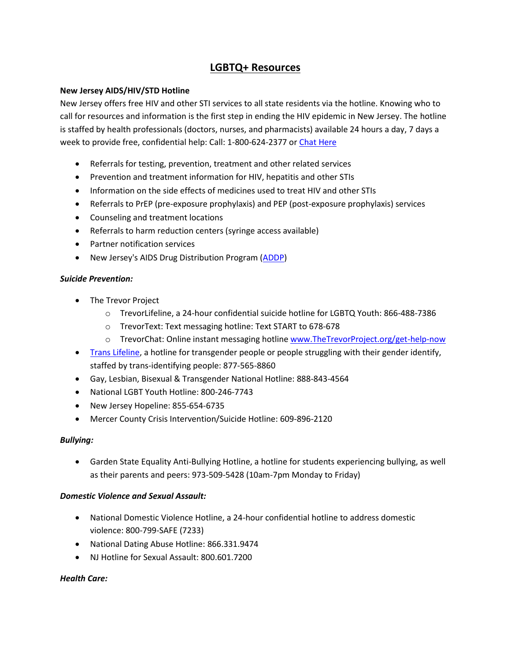# **LGBTQ+ Resources**

#### **New Jersey AIDS/HIV/STD Hotline**

New Jersey offers free HIV and other STI services to all state residents via the hotline. Knowing who to call for resources and information is the first step in ending the HIV epidemic in New Jersey. The hotline is staffed by health professionals (doctors, nurses, and pharmacists) available 24 hours a day, 7 days a week to provide free, confidential help: Call: 1-800-624-2377 or [Chat Here](https://url.emailprotection.link/?brCxTKwC6d720rcRqeF8X16OenToVyvw192WH4FLzOgCVVO1WOPInwWvsMwTuxyXmXgGqymazjNvdXxw5HrtPXA~~)

- Referrals for testing, prevention, treatment and other related services
- Prevention and treatment information for HIV, hepatitis and other STIs
- Information on the side effects of medicines used to treat HIV and other STIs
- Referrals to PrEP (pre-exposure prophylaxis) and PEP (post-exposure prophylaxis) services
- Counseling and treatment locations
- Referrals to harm reduction centers (syringe access available)
- Partner notification services
- New Jersey's AIDS Drug Distribution Program [\(ADDP\)](https://url.emailprotection.link/?b7GrBNekCvpVI_MMzfk5b8A5rmj8TGRPWDtChsKZac6TVluZVq-NBSp563LRWv8xx8VlZDphLh1Dkf8DQVS9GIg~~)

#### *Suicide Prevention:*

- The Trevor Project
	- o TrevorLifeline, a 24-hour confidential suicide hotline for LGBTQ Youth: 866-488-7386
	- o TrevorText: Text messaging hotline: Text START to 678-678
	- o TrevorChat: Online instant messaging hotline [www.TheTrevorProject.org/get-help-now](http://www.thetrevorproject.org/get-help-now)
- [Trans Lifeline,](https://translifeline.org/) a hotline for transgender people or people struggling with their gender identify, staffed by trans-identifying people: 877-565-8860
- Gay, Lesbian, Bisexual & Transgender National Hotline: 888-843-4564
- National LGBT Youth Hotline: 800-246-7743
- New Jersey Hopeline: 855-654-6735
- Mercer County Crisis Intervention/Suicide Hotline: 609-896-2120

### *Bullying:*

• Garden State Equality Anti-Bullying Hotline, a hotline for students experiencing bullying, as well as their parents and peers: 973-509-5428 (10am-7pm Monday to Friday)

### *Domestic Violence and Sexual Assault:*

- National Domestic Violence Hotline, a 24-hour confidential hotline to address domestic violence: 800-799-SAFE (7233)
- National Dating Abuse Hotline: 866.331.9474
- NJ Hotline for Sexual Assault: 800,601,7200

### *Health Care:*